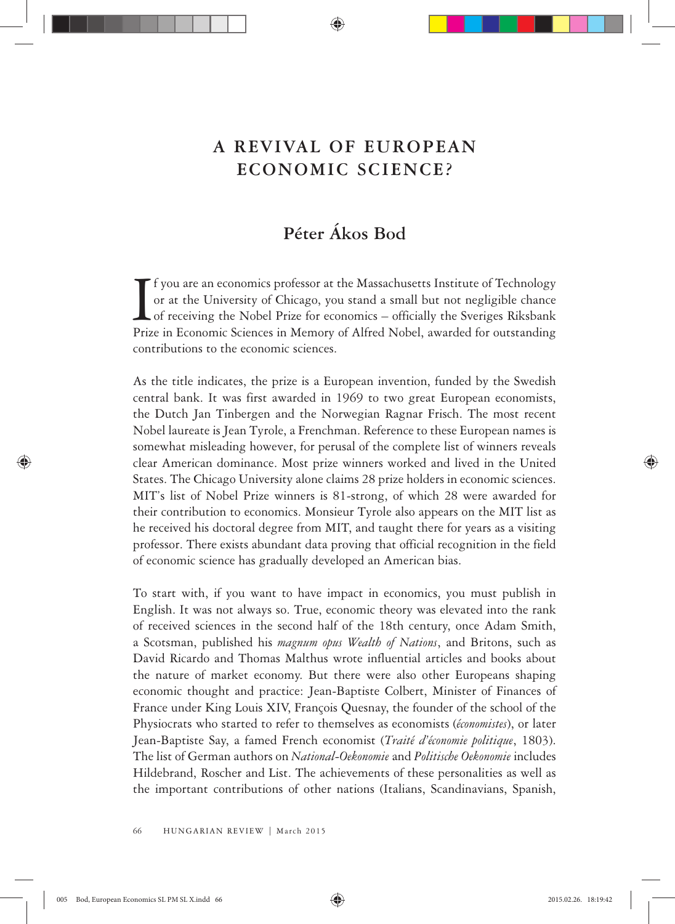## **A REVIVAL OF EUROPEAN ECONOMIC SCIENCE?**

## **Péter Ákos Bod**

If you are an economics professor at the Massachusetts Institute of Technology<br>or at the University of Chicago, you stand a small but not negligible chance<br>of receiving the Nobel Prize for economics – officially the Sverig f you are an economics professor at the Massachusetts Institute of Technology or at the University of Chicago, you stand a small but not negligible chance  $\Box$  of receiving the Nobel Prize for economics – officially the Sveriges Riksbank contributions to the economic sciences.

As the title indicates, the prize is a European invention, funded by the Swedish central bank. It was first awarded in 1969 to two great European economists, the Dutch Jan Tinbergen and the Norwegian Ragnar Frisch. The most recent Nobel laureate is Jean Tyrole, a Frenchman. Reference to these European names is somewhat misleading however, for perusal of the complete list of winners reveals clear American dominance. Most prize winners worked and lived in the United States. The Chicago University alone claims 28 prize holders in economic sciences. MIT's list of Nobel Prize winners is 81-strong, of which 28 were awarded for their contribution to economics. Monsieur Tyrole also appears on the MIT list as he received his doctoral degree from MIT, and taught there for years as a visiting professor. There exists abundant data proving that official recognition in the field of economic science has gradually developed an American bias.

To start with, if you want to have impact in economics, you must publish in English. It was not always so. True, economic theory was elevated into the rank of received sciences in the second half of the 18th century, once Adam Smith, a Scotsman, published his *magnum opus Wealth of Nations*, and Britons, such as David Ricardo and Thomas Malthus wrote influential articles and books about the nature of market economy. But there were also other Europeans shaping economic thought and practice: Jean-Baptiste Colbert, Minister of Finances of France under King Louis XIV, François Quesnay, the founder of the school of the Physiocrats who started to refer to themselves as economists (*économistes*), or later Jean-Baptiste Say, a famed French economist (*Traité d'économie politique*, 1803). The list of German authors on *National-Oekonomie* and *Politische Oekonomie* includes Hildebrand, Roscher and List. The achievements of these personalities as well as the important contributions of other nations (Italians, Scandinavians, Spanish,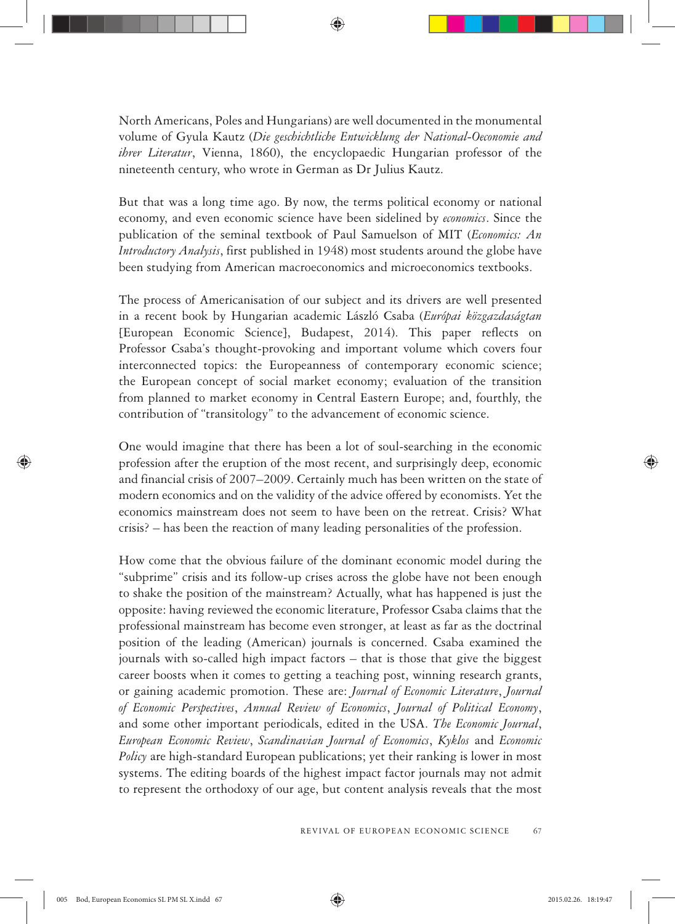North Americans, Poles and Hungarians) are well documented in the monumental volume of Gyula Kautz (*Die geschichtliche Entwicklung der National-Oeconomie and ihrer Literatur*, Vienna, 1860), the encyclopaedic Hungarian professor of the nineteenth century, who wrote in German as Dr Julius Kautz.

But that was a long time ago. By now, the terms political economy or national economy, and even economic science have been sidelined by *economics*. Since the publication of the seminal textbook of Paul Samuelson of MIT (*Economics: An Introductory Analysis*, first published in 1948) most students around the globe have been studying from American macroeconomics and microeconomics textbooks.

The process of Americanisation of our subject and its drivers are well presented in a recent book by Hungarian academic László Csaba (*Európai közgazdaságtan* [European Economic Science], Budapest, 2014). This paper reflects on Professor Csaba's thought-provoking and important volume which covers four interconnected topics: the Europeanness of contemporary economic science; the European concept of social market economy; evaluation of the transition from planned to market economy in Central Eastern Europe; and, fourthly, the contribution of "transitology" to the advancement of economic science.

One would imagine that there has been a lot of soul-searching in the economic profession after the eruption of the most recent, and surprisingly deep, economic and financial crisis of 2007–2009. Certainly much has been written on the state of modern economics and on the validity of the advice offered by economists. Yet the economics mainstream does not seem to have been on the retreat. Crisis? What crisis? – has been the reaction of many leading personalities of the profession.

How come that the obvious failure of the dominant economic model during the "subprime" crisis and its follow-up crises across the globe have not been enough to shake the position of the mainstream? Actually, what has happened is just the opposite: having reviewed the economic literature, Professor Csaba claims that the professional mainstream has become even stronger, at least as far as the doctrinal position of the leading (American) journals is concerned. Csaba examined the journals with so-called high impact factors – that is those that give the biggest career boosts when it comes to getting a teaching post, winning research grants, or gaining academic promotion. These are: *Journal of Economic Literature*, *Journal of Economic Perspectives*, *Annual Review of Economics*, *Journal of Political Economy*, and some other important periodicals, edited in the USA. *The Economic Journal*, *European Economic Review*, *Scandinavian Journal of Economics*, *Kyklos* and *Economic Policy* are high-standard European publications; yet their ranking is lower in most systems. The editing boards of the highest impact factor journals may not admit to represent the orthodoxy of our age, but content analysis reveals that the most

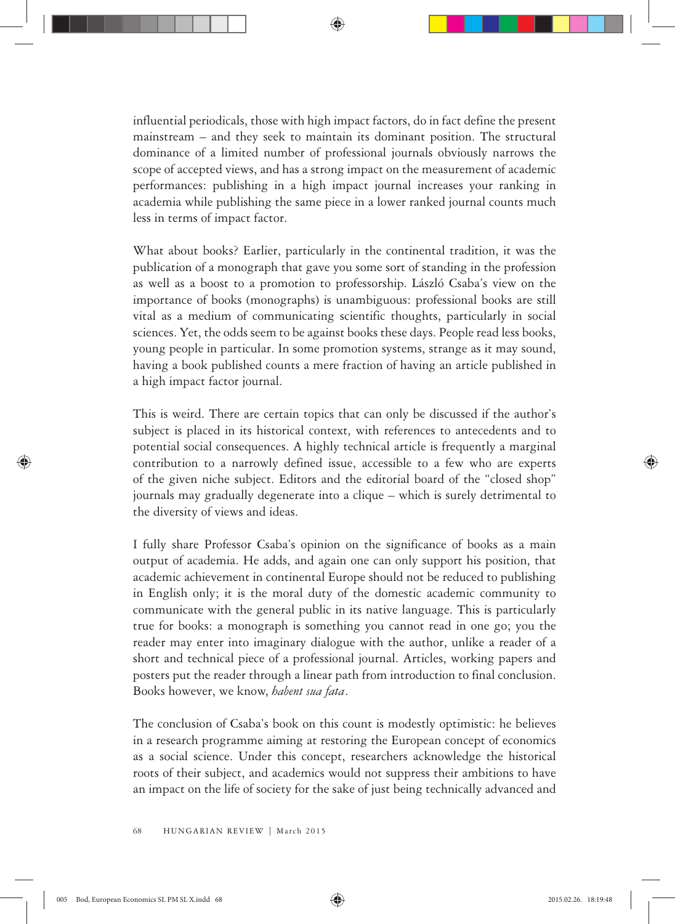influential periodicals, those with high impact factors, do in fact define the present mainstream – and they seek to maintain its dominant position. The structural dominance of a limited number of professional journals obviously narrows the scope of accepted views, and has a strong impact on the measurement of academic performances: publishing in a high impact journal increases your ranking in academia while publishing the same piece in a lower ranked journal counts much less in terms of impact factor.

What about books? Earlier, particularly in the continental tradition, it was the publication of a monograph that gave you some sort of standing in the profession as well as a boost to a promotion to professorship. László Csaba's view on the importance of books (monographs) is unambiguous: professional books are still vital as a medium of communicating scientific thoughts, particularly in social sciences. Yet, the odds seem to be against books these days. People read less books, young people in particular. In some promotion systems, strange as it may sound, having a book published counts a mere fraction of having an article published in a high impact factor journal.

This is weird. There are certain topics that can only be discussed if the author's subject is placed in its historical context, with references to antecedents and to potential social consequences. A highly technical article is frequently a marginal contribution to a narrowly defined issue, accessible to a few who are experts of the given niche subject. Editors and the editorial board of the "closed shop" journals may gradually degenerate into a clique – which is surely detrimental to the diversity of views and ideas.

I fully share Professor Csaba's opinion on the significance of books as a main output of academia. He adds, and again one can only support his position, that academic achievement in continental Europe should not be reduced to publishing in English only; it is the moral duty of the domestic academic community to communicate with the general public in its native language. This is particularly true for books: a monograph is something you cannot read in one go; you the reader may enter into imaginary dialogue with the author, unlike a reader of a short and technical piece of a professional journal. Articles, working papers and posters put the reader through a linear path from introduction to final conclusion. Books however, we know, *habent sua fata*.

The conclusion of Csaba's book on this count is modestly optimistic: he believes in a research programme aiming at restoring the European concept of economics as a social science. Under this concept, researchers acknowledge the historical roots of their subject, and academics would not suppress their ambitions to have an impact on the life of society for the sake of just being technically advanced and

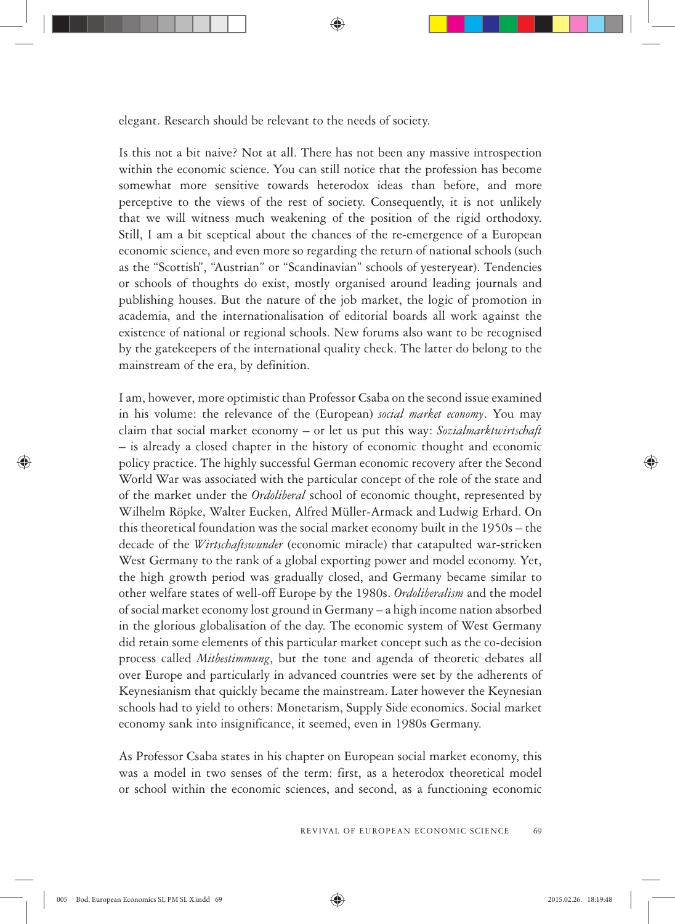elegant. Research should be relevant to the needs of society.

Is this not a bit naive? Not at all. There has not been any massive introspection within the economic science. You can still notice that the profession has become somewhat more sensitive towards heterodox ideas than before, and more perceptive to the views of the rest of society. Consequently, it is not unlikely that we will witness much weakening of the position of the rigid orthodoxy. Still, I am a bit sceptical about the chances of the re-emergence of a European economic science, and even more so regarding the return of national schools (such as the "Scottish", "Austrian" or "Scandinavian" schools of yesteryear). Tendencies or schools of thoughts do exist, mostly organised around leading journals and publishing houses. But the nature of the job market, the logic of promotion in academia, and the internationalisation of editorial boards all work against the existence of national or regional schools. New forums also want to be recognised by the gatekeepers of the international quality check. The latter do belong to the mainstream of the era, by definition.

I am, however, more optimistic than Professor Csaba on the second issue examined in his volume: the relevance of the (European) *social market economy*. You may claim that social market economy – or let us put this way: *Sozialmarktwirtschaft* – is already a closed chapter in the history of economic thought and economic policy practice. The highly successful German economic recovery after the Second World War was associated with the particular concept of the role of the state and of the market under the *Ordoliberal* school of economic thought, represented by Wilhelm Röpke, Walter Eucken, Alfred Müller-Armack and Ludwig Erhard. On this theoretical foundation was the social market economy built in the 1950s – the decade of the *Wirtschaftswunder* (economic miracle) that catapulted war-stricken West Germany to the rank of a global exporting power and model economy. Yet, the high growth period was gradually closed, and Germany became similar to other welfare states of well-off Europe by the 1980s. *Ordoliberalism* and the model of social market economy lost ground in Germany – a high income nation absorbed in the glorious globalisation of the day. The economic system of West Germany did retain some elements of this particular market concept such as the co-decision process called *Mitbestimmung*, but the tone and agenda of theoretic debates all over Europe and particularly in advanced countries were set by the adherents of Keynesianism that quickly became the mainstream. Later however the Keynesian schools had to yield to others: Monetarism, Supply Side economics. Social market economy sank into insignificance, it seemed, even in 1980s Germany.

As Professor Csaba states in his chapter on European social market economy, this was a model in two senses of the term: first, as a heterodox theoretical model or school within the economic sciences, and second, as a functioning economic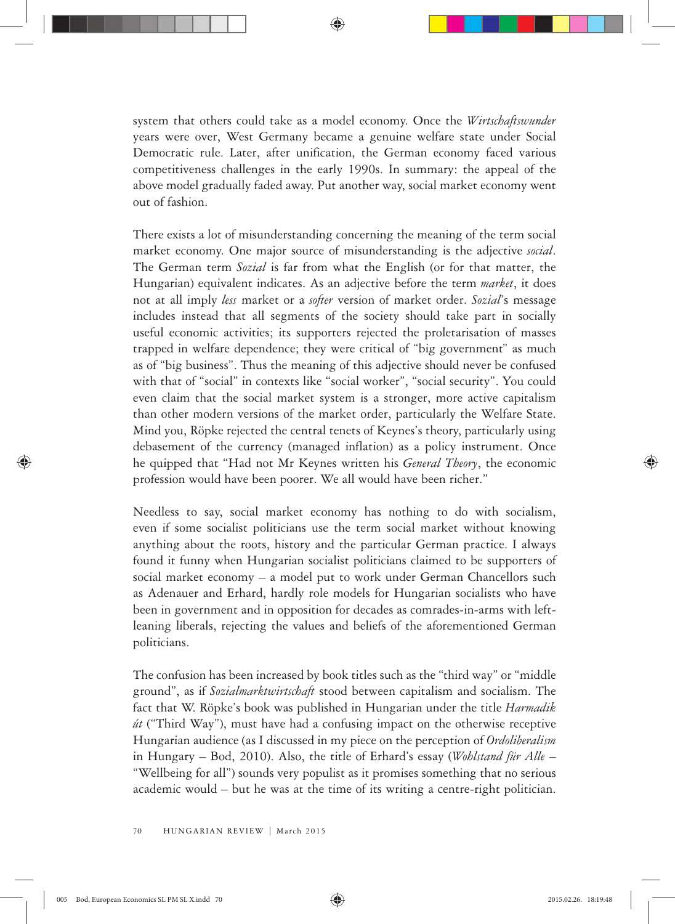system that others could take as a model economy. Once the *Wirtschaftswunder* years were over, West Germany became a genuine welfare state under Social Democratic rule. Later, after unification, the German economy faced various competitiveness challenges in the early 1990s. In summary: the appeal of the above model gradually faded away. Put another way, social market economy went out of fashion.

There exists a lot of misunderstanding concerning the meaning of the term social market economy. One major source of misunderstanding is the adjective *social*. The German term *Sozial* is far from what the English (or for that matter, the Hungarian) equivalent indicates. As an adjective before the term *market*, it does not at all imply *less* market or a *softer* version of market order. *Sozial*'s message includes instead that all segments of the society should take part in socially useful economic activities; its supporters rejected the proletarisation of masses trapped in welfare dependence; they were critical of "big government" as much as of "big business". Thus the meaning of this adjective should never be confused with that of "social" in contexts like "social worker", "social security". You could even claim that the social market system is a stronger, more active capitalism than other modern versions of the market order, particularly the Welfare State. Mind you, Röpke rejected the central tenets of Keynes's theory, particularly using debasement of the currency (managed inflation) as a policy instrument. Once he quipped that "Had not Mr Keynes written his *General Theory*, the economic profession would have been poorer. We all would have been richer."

Needless to say, social market economy has nothing to do with socialism, even if some socialist politicians use the term social market without knowing anything about the roots, history and the particular German practice. I always found it funny when Hungarian socialist politicians claimed to be supporters of social market economy – a model put to work under German Chancellors such as Adenauer and Erhard, hardly role models for Hungarian socialists who have been in government and in opposition for decades as comrades-in-arms with leftleaning liberals, rejecting the values and beliefs of the aforementioned German politicians.

The confusion has been increased by book titles such as the "third way" or "middle ground", as if *Sozialmarktwirtschaft* stood between capitalism and socialism. The fact that W. Röpke's book was published in Hungarian under the title *Harmadik út* ("Third Way"), must have had a confusing impact on the otherwise receptive Hungarian audience (as I discussed in my piece on the perception of *Ordoliberalism* in Hungary – Bod, 2010). Also, the title of Erhard's essay (*Wohlstand für Alle* – "Wellbeing for all") sounds very populist as it promises something that no serious academic would – but he was at the time of its writing a centre-right politician.

⊕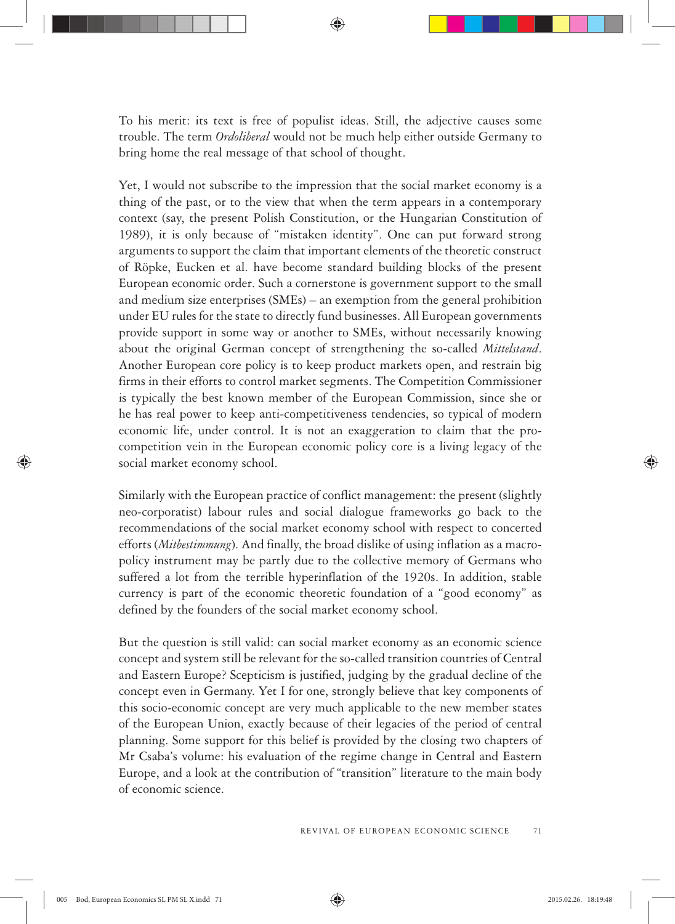To his merit: its text is free of populist ideas. Still, the adjective causes some trouble. The term *Ordoliberal* would not be much help either outside Germany to bring home the real message of that school of thought.

Yet, I would not subscribe to the impression that the social market economy is a thing of the past, or to the view that when the term appears in a contemporary context (say, the present Polish Constitution, or the Hungarian Constitution of 1989), it is only because of "mistaken identity". One can put forward strong arguments to support the claim that important elements of the theoretic construct of Röpke, Eucken et al. have become standard building blocks of the present European economic order. Such a cornerstone is government support to the small and medium size enterprises (SMEs) – an exemption from the general prohibition under EU rules for the state to directly fund businesses. All European governments provide support in some way or another to SMEs, without necessarily knowing about the original German concept of strengthening the so-called *Mittelstand*. Another European core policy is to keep product markets open, and restrain big firms in their efforts to control market segments. The Competition Commissioner is typically the best known member of the European Commission, since she or he has real power to keep anti-competitiveness tendencies, so typical of modern economic life, under control. It is not an exaggeration to claim that the procompetition vein in the European economic policy core is a living legacy of the social market economy school.

Similarly with the European practice of conflict management: the present (slightly neo-corporatist) labour rules and social dialogue frameworks go back to the recommendations of the social market economy school with respect to concerted efforts (*Mitbestimmung*). And finally, the broad dislike of using inflation as a macropolicy instrument may be partly due to the collective memory of Germans who suffered a lot from the terrible hyperinflation of the 1920s. In addition, stable currency is part of the economic theoretic foundation of a "good economy" as defined by the founders of the social market economy school.

But the question is still valid: can social market economy as an economic science concept and system still be relevant for the so-called transition countries of Central and Eastern Europe? Scepticism is justified, judging by the gradual decline of the concept even in Germany. Yet I for one, strongly believe that key components of this socio-economic concept are very much applicable to the new member states of the European Union, exactly because of their legacies of the period of central planning. Some support for this belief is provided by the closing two chapters of Mr Csaba's volume: his evaluation of the regime change in Central and Eastern Europe, and a look at the contribution of "transition" literature to the main body of economic science.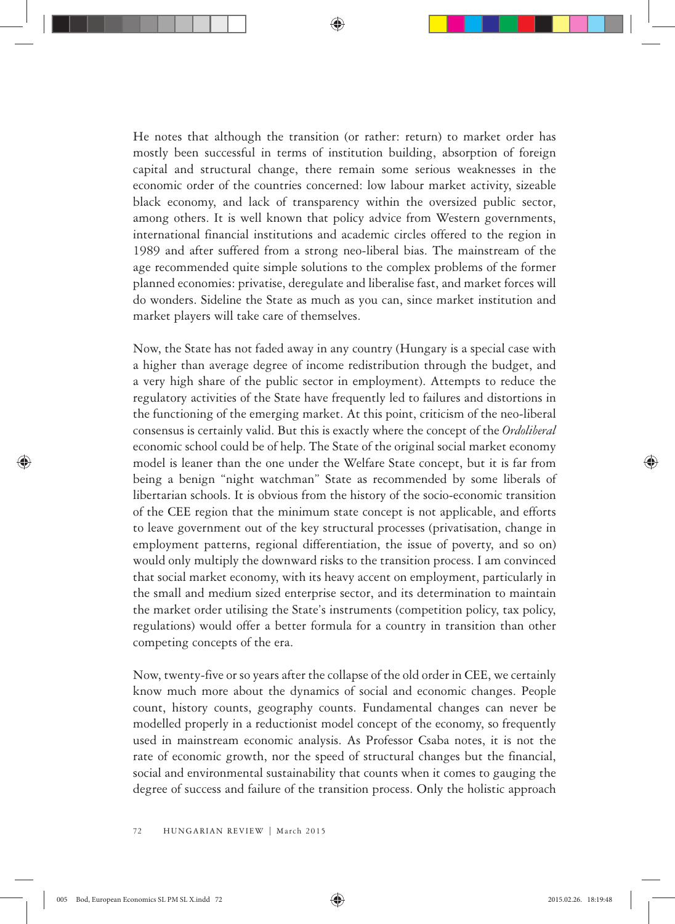He notes that although the transition (or rather: return) to market order has mostly been successful in terms of institution building, absorption of foreign capital and structural change, there remain some serious weaknesses in the economic order of the countries concerned: low labour market activity, sizeable black economy, and lack of transparency within the oversized public sector, among others. It is well known that policy advice from Western governments, international financial institutions and academic circles offered to the region in 1989 and after suffered from a strong neo-liberal bias. The mainstream of the age recommended quite simple solutions to the complex problems of the former planned economies: privatise, deregulate and liberalise fast, and market forces will do wonders. Sideline the State as much as you can, since market institution and market players will take care of themselves.

Now, the State has not faded away in any country (Hungary is a special case with a higher than average degree of income redistribution through the budget, and a very high share of the public sector in employment). Attempts to reduce the regulatory activities of the State have frequently led to failures and distortions in the functioning of the emerging market. At this point, criticism of the neo-liberal consensus is certainly valid. But this is exactly where the concept of the *Ordoliberal* economic school could be of help. The State of the original social market economy model is leaner than the one under the Welfare State concept, but it is far from being a benign "night watchman" State as recommended by some liberals of libertarian schools. It is obvious from the history of the socio-economic transition of the CEE region that the minimum state concept is not applicable, and efforts to leave government out of the key structural processes (privatisation, change in employment patterns, regional differentiation, the issue of poverty, and so on) would only multiply the downward risks to the transition process. I am convinced that social market economy, with its heavy accent on employment, particularly in the small and medium sized enterprise sector, and its determination to maintain the market order utilising the State's instruments (competition policy, tax policy, regulations) would offer a better formula for a country in transition than other competing concepts of the era.

Now, twenty-five or so years after the collapse of the old order in CEE, we certainly know much more about the dynamics of social and economic changes. People count, history counts, geography counts. Fundamental changes can never be modelled properly in a reductionist model concept of the economy, so frequently used in mainstream economic analysis. As Professor Csaba notes, it is not the rate of economic growth, nor the speed of structural changes but the financial, social and environmental sustainability that counts when it comes to gauging the degree of success and failure of the transition process. Only the holistic approach